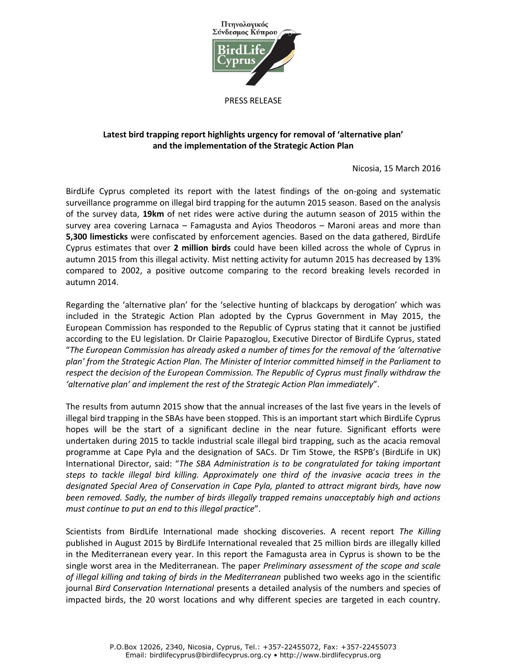

PRESS RELEASE

## **Latest bird trapping report highlights urgency for removal of 'alternative plan' and the implementation of the Strategic Action Plan**

Nicosia, 15 March 2016

BirdLife Cyprus completed its report with the latest findings of the on-going and systematic surveillance programme on illegal bird trapping for the autumn 2015 season. Based on the analysis of the survey data, **19km** of net rides were active during the autumn season of 2015 within the survey area covering Larnaca – Famagusta and Ayios Theodoros – Maroni areas and more than **5,300 limesticks** were confiscated by enforcement agencies. Based on the data gathered, BirdLife Cyprus estimates that over **2 million birds** could have been killed across the whole of Cyprus in autumn 2015 from this illegal activity. Mist netting activity for autumn 2015 has decreased by 13% compared to 2002, a positive outcome comparing to the record breaking levels recorded in autumn 2014.

Regarding the 'alternative plan' for the 'selective hunting of blackcaps by derogation' which was included in the Strategic Action Plan adopted by the Cyprus Government in May 2015, the European Commission has responded to the Republic of Cyprus stating that it cannot be justified according to the EU legislation. Dr Clairie Papazoglou, Executive Director of BirdLife Cyprus, stated "*The European Commission has already asked a number of times for the removal of the 'alternative plan' from the Strategic Action Plan. The Minister of Interior committed himself in the Parliament to respect the decision of the European Commission. The Republic of Cyprus must finally withdraw the 'alternative plan' and implement the rest of the Strategic Action Plan immediately*".

The results from autumn 2015 show that the annual increases of the last five years in the levels of illegal bird trapping in the SBAs have been stopped. This is an important start which BirdLife Cyprus hopes will be the start of a significant decline in the near future. Significant efforts were undertaken during 2015 to tackle industrial scale illegal bird trapping, such as the acacia removal programme at Cape Pyla and the designation of SACs. Dr Tim Stowe, the RSPB's (BirdLife in UK) International Director, said: "*The SBA Administration is to be congratulated for taking important steps to tackle illegal bird killing. Approximately one third of the invasive acacia trees in the designated Special Area of Conservation in Cape Pyla, planted to attract migrant birds, have now been removed. Sadly, the number of birds illegally trapped remains unacceptably high and actions must continue to put an end to this illegal practice*".

Scientists from BirdLife International made shocking discoveries. A recent report *The Killing* published in August 2015 by BirdLife International revealed that 25 million birds are illegally killed in the Mediterranean every year. In this report the Famagusta area in Cyprus is shown to be the single worst area in the Mediterranean. The paper *Preliminary assessment of the scope and scale of illegal killing and taking of birds in the Mediterranean* published two weeks ago in the scientific journal *Bird Conservation International* presents a detailed analysis of the numbers and species of impacted birds, the 20 worst locations and why different species are targeted in each country.